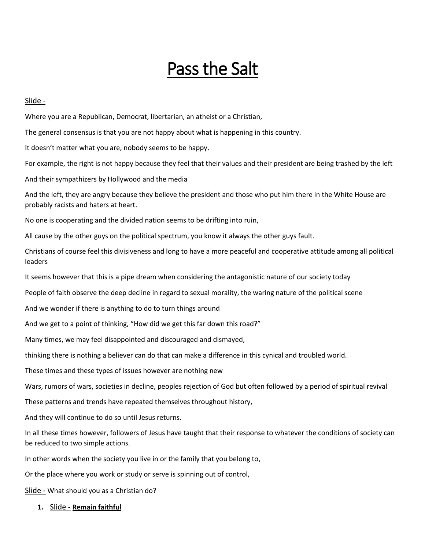# Pass the Salt

### Slide -

Where you are a Republican, Democrat, libertarian, an atheist or a Christian,

The general consensus is that you are not happy about what is happening in this country.

It doesn't matter what you are, nobody seems to be happy.

For example, the right is not happy because they feel that their values and their president are being trashed by the left

And their sympathizers by Hollywood and the media

And the left, they are angry because they believe the president and those who put him there in the White House are probably racists and haters at heart.

No one is cooperating and the divided nation seems to be drifting into ruin,

All cause by the other guys on the political spectrum, you know it always the other guys fault.

Christians of course feel this divisiveness and long to have a more peaceful and cooperative attitude among all political leaders

It seems however that this is a pipe dream when considering the antagonistic nature of our society today

People of faith observe the deep decline in regard to sexual morality, the waring nature of the political scene

And we wonder if there is anything to do to turn things around

And we get to a point of thinking, "How did we get this far down this road?"

Many times, we may feel disappointed and discouraged and dismayed,

thinking there is nothing a believer can do that can make a difference in this cynical and troubled world.

These times and these types of issues however are nothing new

Wars, rumors of wars, societies in decline, peoples rejection of God but often followed by a period of spiritual revival

These patterns and trends have repeated themselves throughout history,

And they will continue to do so until Jesus returns.

In all these times however, followers of Jesus have taught that their response to whatever the conditions of society can be reduced to two simple actions.

In other words when the society you live in or the family that you belong to,

Or the place where you work or study or serve is spinning out of control,

Slide - What should you as a Christian do?

**1.** Slide - **Remain faithful**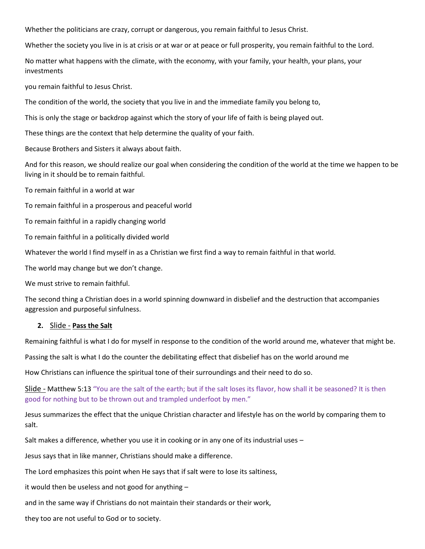Whether the politicians are crazy, corrupt or dangerous, you remain faithful to Jesus Christ.

Whether the society you live in is at crisis or at war or at peace or full prosperity, you remain faithful to the Lord.

No matter what happens with the climate, with the economy, with your family, your health, your plans, your investments

you remain faithful to Jesus Christ.

The condition of the world, the society that you live in and the immediate family you belong to,

This is only the stage or backdrop against which the story of your life of faith is being played out.

These things are the context that help determine the quality of your faith.

Because Brothers and Sisters it always about faith.

And for this reason, we should realize our goal when considering the condition of the world at the time we happen to be living in it should be to remain faithful.

To remain faithful in a world at war

To remain faithful in a prosperous and peaceful world

To remain faithful in a rapidly changing world

To remain faithful in a politically divided world

Whatever the world I find myself in as a Christian we first find a way to remain faithful in that world.

The world may change but we don't change.

We must strive to remain faithful.

The second thing a Christian does in a world spinning downward in disbelief and the destruction that accompanies aggression and purposeful sinfulness.

#### **2.** Slide - **Pass the Salt**

Remaining faithful is what I do for myself in response to the condition of the world around me, whatever that might be.

Passing the salt is what I do the counter the debilitating effect that disbelief has on the world around me

How Christians can influence the spiritual tone of their surroundings and their need to do so.

Slide - Matthew 5:13 "You are the salt of the earth; but if the salt loses its flavor, how shall it be seasoned? It is then good for nothing but to be thrown out and trampled underfoot by men."

Jesus summarizes the effect that the unique Christian character and lifestyle has on the world by comparing them to salt.

Salt makes a difference, whether you use it in cooking or in any one of its industrial uses –

Jesus says that in like manner, Christians should make a difference.

The Lord emphasizes this point when He says that if salt were to lose its saltiness,

it would then be useless and not good for anything –

and in the same way if Christians do not maintain their standards or their work,

they too are not useful to God or to society.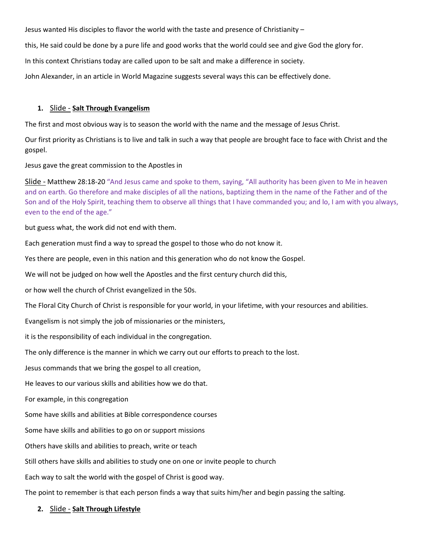Jesus wanted His disciples to flavor the world with the taste and presence of Christianity –

this, He said could be done by a pure life and good works that the world could see and give God the glory for.

In this context Christians today are called upon to be salt and make a difference in society.

John Alexander, in an article in World Magazine suggests several ways this can be effectively done.

### **1.** Slide - **Salt Through Evangelism**

The first and most obvious way is to season the world with the name and the message of Jesus Christ.

Our first priority as Christians is to live and talk in such a way that people are brought face to face with Christ and the gospel.

Jesus gave the great commission to the Apostles in

Slide - Matthew 28:18-20 "And Jesus came and spoke to them, saying, "All authority has been given to Me in heaven and on earth. Go therefore and make disciples of all the nations, baptizing them in the name of the Father and of the Son and of the Holy Spirit, teaching them to observe all things that I have commanded you; and lo, I am with you always, even to the end of the age."

but guess what, the work did not end with them.

Each generation must find a way to spread the gospel to those who do not know it.

Yes there are people, even in this nation and this generation who do not know the Gospel.

We will not be judged on how well the Apostles and the first century church did this,

or how well the church of Christ evangelized in the 50s.

The Floral City Church of Christ is responsible for your world, in your lifetime, with your resources and abilities.

Evangelism is not simply the job of missionaries or the ministers,

it is the responsibility of each individual in the congregation.

The only difference is the manner in which we carry out our efforts to preach to the lost.

Jesus commands that we bring the gospel to all creation,

He leaves to our various skills and abilities how we do that.

For example, in this congregation

Some have skills and abilities at Bible correspondence courses

Some have skills and abilities to go on or support missions

Others have skills and abilities to preach, write or teach

Still others have skills and abilities to study one on one or invite people to church

Each way to salt the world with the gospel of Christ is good way.

The point to remember is that each person finds a way that suits him/her and begin passing the salting.

## **2.** Slide - **Salt Through Lifestyle**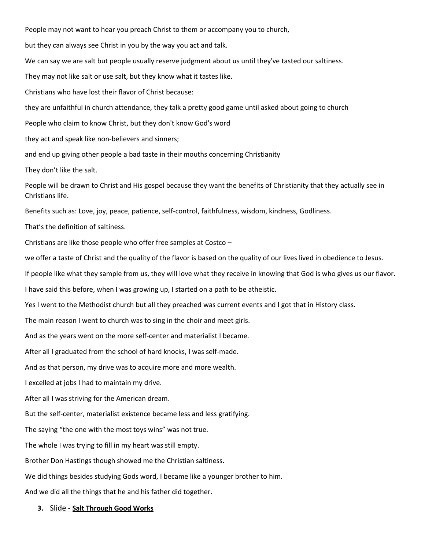People may not want to hear you preach Christ to them or accompany you to church, but they can always see Christ in you by the way you act and talk. We can say we are salt but people usually reserve judgment about us until they've tasted our saltiness. They may not like salt or use salt, but they know what it tastes like. Christians who have lost their flavor of Christ because: they are unfaithful in church attendance, they talk a pretty good game until asked about going to church People who claim to know Christ, but they don't know God's word they act and speak like non-believers and sinners; and end up giving other people a bad taste in their mouths concerning Christianity They don't like the salt. People will be drawn to Christ and His gospel because they want the benefits of Christianity that they actually see in Christians life. Benefits such as: Love, joy, peace, patience, self-control, faithfulness, wisdom, kindness, Godliness. That's the definition of saltiness. Christians are like those people who offer free samples at Costco – we offer a taste of Christ and the quality of the flavor is based on the quality of our lives lived in obedience to Jesus. If people like what they sample from us, they will love what they receive in knowing that God is who gives us our flavor. I have said this before, when I was growing up, I started on a path to be atheistic. Yes I went to the Methodist church but all they preached was current events and I got that in History class. The main reason I went to church was to sing in the choir and meet girls. And as the years went on the more self-center and materialist I became. After all I graduated from the school of hard knocks, I was self-made. And as that person, my drive was to acquire more and more wealth. I excelled at jobs I had to maintain my drive. After all I was striving for the American dream. But the self-center, materialist existence became less and less gratifying. The saying "the one with the most toys wins" was not true. The whole I was trying to fill in my heart was still empty. Brother Don Hastings though showed me the Christian saltiness. We did things besides studying Gods word, I became like a younger brother to him. And we did all the things that he and his father did together. **3.** Slide - **Salt Through Good Works**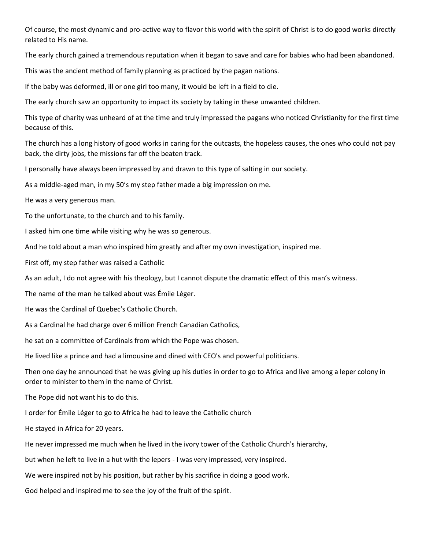Of course, the most dynamic and pro-active way to flavor this world with the spirit of Christ is to do good works directly related to His name.

The early church gained a tremendous reputation when it began to save and care for babies who had been abandoned.

This was the ancient method of family planning as practiced by the pagan nations.

If the baby was deformed, ill or one girl too many, it would be left in a field to die.

The early church saw an opportunity to impact its society by taking in these unwanted children.

This type of charity was unheard of at the time and truly impressed the pagans who noticed Christianity for the first time because of this.

The church has a long history of good works in caring for the outcasts, the hopeless causes, the ones who could not pay back, the dirty jobs, the missions far off the beaten track.

I personally have always been impressed by and drawn to this type of salting in our society.

As a middle-aged man, in my 50's my step father made a big impression on me.

He was a very generous man.

To the unfortunate, to the church and to his family.

I asked him one time while visiting why he was so generous.

And he told about a man who inspired him greatly and after my own investigation, inspired me.

First off, my step father was raised a Catholic

As an adult, I do not agree with his theology, but I cannot dispute the dramatic effect of this man's witness.

The name of the man he talked about was Émile Léger.

He was the Cardinal of Quebec's Catholic Church.

As a Cardinal he had charge over 6 million French Canadian Catholics,

he sat on a committee of Cardinals from which the Pope was chosen.

He lived like a prince and had a limousine and dined with CEO's and powerful politicians.

Then one day he announced that he was giving up his duties in order to go to Africa and live among a leper colony in order to minister to them in the name of Christ.

The Pope did not want his to do this.

I order for Émile Léger to go to Africa he had to leave the Catholic church

He stayed in Africa for 20 years.

He never impressed me much when he lived in the ivory tower of the Catholic Church's hierarchy,

but when he left to live in a hut with the lepers - I was very impressed, very inspired.

We were inspired not by his position, but rather by his sacrifice in doing a good work.

God helped and inspired me to see the joy of the fruit of the spirit.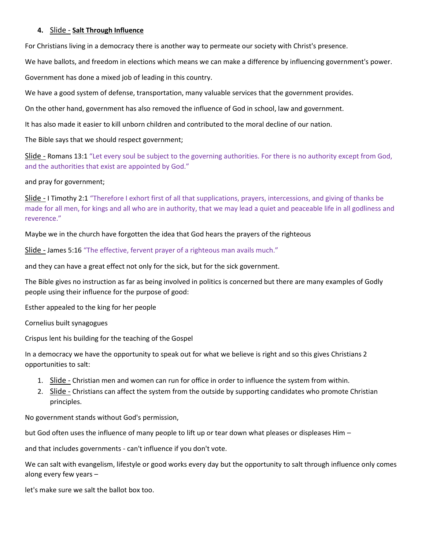### **4.** Slide - **Salt Through Influence**

For Christians living in a democracy there is another way to permeate our society with Christ's presence.

We have ballots, and freedom in elections which means we can make a difference by influencing government's power.

Government has done a mixed job of leading in this country.

We have a good system of defense, transportation, many valuable services that the government provides.

On the other hand, government has also removed the influence of God in school, law and government.

It has also made it easier to kill unborn children and contributed to the moral decline of our nation.

The Bible says that we should respect government;

Slide - Romans 13:1 "Let every soul be subject to the governing authorities. For there is no authority except from God, and the authorities that exist are appointed by God."

and pray for government;

Slide - I Timothy 2:1 "Therefore I exhort first of all that supplications, prayers, intercessions, and giving of thanks be made for all men, for kings and all who are in authority, that we may lead a quiet and peaceable life in all godliness and reverence."

Maybe we in the church have forgotten the idea that God hears the prayers of the righteous

Slide - James 5:16 "The effective, fervent prayer of a righteous man avails much."

and they can have a great effect not only for the sick, but for the sick government.

The Bible gives no instruction as far as being involved in politics is concerned but there are many examples of Godly people using their influence for the purpose of good:

Esther appealed to the king for her people

Cornelius built synagogues

Crispus lent his building for the teaching of the Gospel

In a democracy we have the opportunity to speak out for what we believe is right and so this gives Christians 2 opportunities to salt:

- 1. Slide Christian men and women can run for office in order to influence the system from within.
- 2. Slide Christians can affect the system from the outside by supporting candidates who promote Christian principles.

No government stands without God's permission,

but God often uses the influence of many people to lift up or tear down what pleases or displeases Him –

and that includes governments - can't influence if you don't vote.

We can salt with evangelism, lifestyle or good works every day but the opportunity to salt through influence only comes along every few years –

let's make sure we salt the ballot box too.